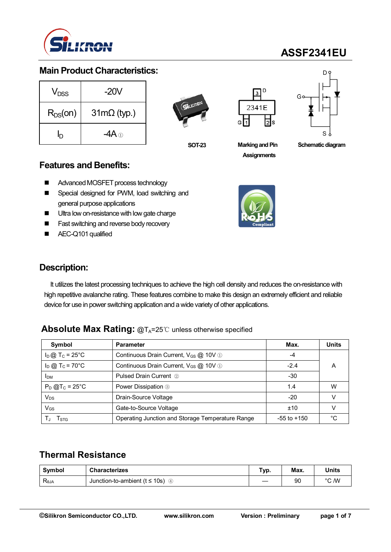

# **ASSF2341EU**

#### **Main Product Characteristics:**

| V <sub>DSS</sub> | $-20V$                     |  |  |  |  |
|------------------|----------------------------|--|--|--|--|
| $R_{DS}(on)$     | $31 \text{m}\Omega$ (typ.) |  |  |  |  |
| İŊ               |                            |  |  |  |  |



**SOT-23**





### **Features and Benefits:**

- Advanced MOSFET process technology
- **Special designed for PWM, load switching and** general purpose applications
- Ultra low on-resistance with low gate charge
- **Fast switching and reverse body recovery**
- AEC-Q101 qualified



**Schematic diagram** 



#### **Description:**

It utilizes the latest processing techniques to achieve the high cell density and reduces the on-resistance with high repetitive avalanche rating. These features combine to make this design an extremely efficient and reliable device for use in power switching application and a wide variety of other applications.

#### **Absolute Max Rating: @T<sub>A</sub>=25℃ unless otherwise specified**

| Symbol                        | <b>Parameter</b>                                  | Max.            | <b>Units</b> |
|-------------------------------|---------------------------------------------------|-----------------|--------------|
| $I_D$ @ T <sub>C</sub> = 25°C | Continuous Drain Current, V <sub>GS</sub> @ 10V 1 | -4              |              |
| $I_D$ @ T <sub>c</sub> = 70°C | Continuous Drain Current, V <sub>GS</sub> @ 10V 1 | $-2.4$          | A            |
| <b>IDM</b>                    | <b>Pulsed Drain Current 2</b>                     | $-30$           |              |
| $P_D$ @T <sub>c</sub> = 25°C  | Power Dissipation 3                               | 1.4             | W            |
| $V_{DS}$                      | Drain-Source Voltage                              | $-20$           |              |
| $V_{GS}$                      | Gate-to-Source Voltage                            | ±10             |              |
| l stg                         | Operating Junction and Storage Temperature Range  | $-55$ to $+150$ | °C           |

### **Thermal Resistance**

| Symbol         | <b>Characterizes</b>                                 | Гур. | Max. | Units |
|----------------|------------------------------------------------------|------|------|-------|
| $R_{\theta$ JA | Junction-to-ambient ( $t \le 10$ s)<br>$\circled{4}$ |      | 90   | °C /W |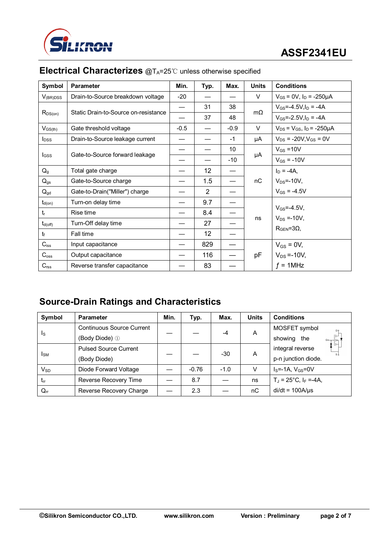

| Symbol                     | <b>Parameter</b>                     | Min.   | Typ. | Max.   | <b>Units</b> | <b>Conditions</b>                       |  |
|----------------------------|--------------------------------------|--------|------|--------|--------------|-----------------------------------------|--|
| $V_{(BR)DSS}$              | Drain-to-Source breakdown voltage    | $-20$  |      |        | V            | $V_{GS}$ = 0V, $I_D$ = -250µA           |  |
| $R_{DS(on)}$               | Static Drain-to-Source on-resistance |        | 31   | 38     | $m\Omega$    | $V_{GS} = -4.5V, I_D = -4A$             |  |
|                            |                                      |        | 37   | 48     |              | $V_{GS} = -2.5V, I_D = -4A$             |  |
| $V_{GS(th)}$               | Gate threshold voltage               | $-0.5$ |      | $-0.9$ | V            | $V_{DS} = V_{GS}$ , $I_D = -250 \mu A$  |  |
| $I_{DSS}$                  | Drain-to-Source leakage current      |        |      | $-1$   | μA           | $V_{DS}$ = -20V, $V_{GS}$ = 0V          |  |
|                            |                                      |        |      | 10     |              | $V_{GS} = 10V$                          |  |
| lgss                       | Gate-to-Source forward leakage       |        |      | $-10$  | μA           | $V_{GS} = -10V$                         |  |
| $Q_{g}$                    | Total gate charge                    |        | 12   |        |              | $I_D = -4A$ ,                           |  |
| $Q_{gs}$                   | Gate-to-Source charge                |        | 1.5  |        | nC           | $V_{DS}$ =-10V,                         |  |
| $\mathsf{Q}_{\mathsf{gd}}$ | Gate-to-Drain("Miller") charge       |        | 2    |        |              | $V_{GS} = -4.5V$                        |  |
| $t_{\sf d(on)}$            | Turn-on delay time                   |        | 9.7  |        |              |                                         |  |
| $t_{r}$                    | Rise time                            |        | 8.4  |        |              | $V_{GS} = -4.5V$ ,<br>$V_{DS} = -10V$ , |  |
| $t_{d(off)}$               | Turn-Off delay time                  |        | 27   |        | ns           |                                         |  |
| $t_{\rm f}$                | Fall time                            |        | 12   |        |              | $RGEN=3Ω$                               |  |
| $C_{iss}$                  | Input capacitance                    |        | 829  |        |              | $V_{GS} = 0V$ ,                         |  |
| $C_{\rm oss}$              | Output capacitance                   |        | 116  |        | pF           | $V_{DS} = -10V$ ,                       |  |
| $C_{\text{rss}}$           | Reverse transfer capacitance         |        | 83   |        |              | $f = 1$ MHz                             |  |

### **Electrical Characterizes** @T<sub>A</sub>=25℃ unless otherwise specified

## **Source-Drain Ratings and Characteristics**

| Symbol                     | <b>Parameter</b>                 | Min. | Typ.    | Max.   | <b>Units</b> | <b>Conditions</b>                   |
|----------------------------|----------------------------------|------|---------|--------|--------------|-------------------------------------|
| Is                         | <b>Continuous Source Current</b> |      |         | $-4$   | A            | MOSFET symbol                       |
|                            | (Body Diode) 1                   |      |         |        |              | showing<br>the<br>$G \circ$         |
| Isм                        | <b>Pulsed Source Current</b>     |      |         | $-30$  | A            | integral reverse                    |
|                            | (Body Diode)                     |      |         |        |              | p-n junction diode.                 |
| $\mathsf{V}_{\mathsf{SD}}$ | Diode Forward Voltage            |      | $-0.76$ | $-1.0$ | v            | $IS=-1A, VGS=0V$                    |
| trr                        | Reverse Recovery Time            |      | 8.7     |        | ns           | $T_J = 25^{\circ}C$ , $I_F = -4A$ , |
| $\mathsf{Q}_{\mathsf{rr}}$ | Reverse Recovery Charge          |      | 2.3     |        | nC           | $di/dt = 100A/\mu s$                |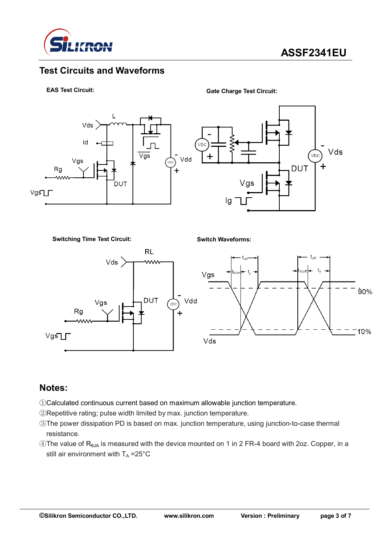

### **Test Circuits and Waveforms**



**Gate Charge Test Circuit:**



**Switching Time Test Circuit:**

**Switch Waveforms:**



### **Notes:**

- ①Calculated continuous current based on maximum allowable junction temperature.
- ②Repetitive rating; pulse width limited by max. junction temperature.
- ③The power dissipation PD is based on max. junction temperature, using junction-to-case thermal resistance.
- $\circledA$ The value of R<sub>θJA</sub> is measured with the device mounted on 1 in 2 FR-4 board with 2oz. Copper, in a still air environment with  $T_A = 25^{\circ}C$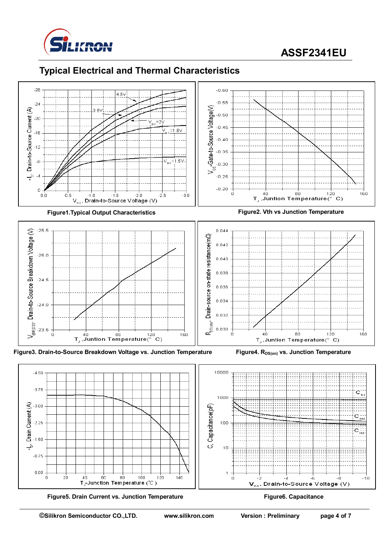

## **ASSF2341EU**

### **Typical Electrical and Thermal Characteristics**



 $4n$ 

.គីព

8ņ

T-Junction Temperature (°C)

 $100$ 

 $120$ 

 $0.00$ 

-ń

 $20$ 

**Figure5. Drain Current vs. Junction Temperature Figure6. Capacitance** 

 $140$ 

 $\overline{1}$ 

ń

- 4

 $V_{\text{ns}}$ , Drain-to-Source Voltage (V)

 $-10$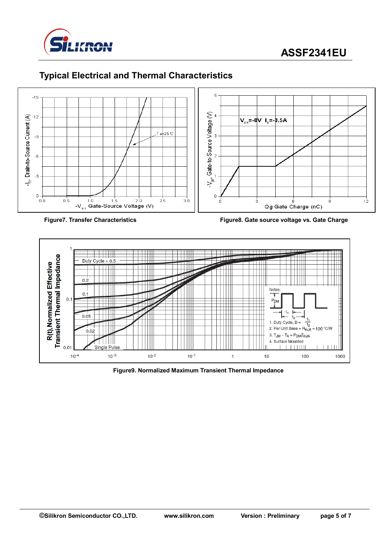

ġ

 $12$ 





### **Typical Electrical and Thermal Characteristics**



**Figure7. Transfer Characteristics Figure8. Gate source voltage vs. Gate Charge**



**Figure9. Normalized Maximum Transient Thermal Impedance**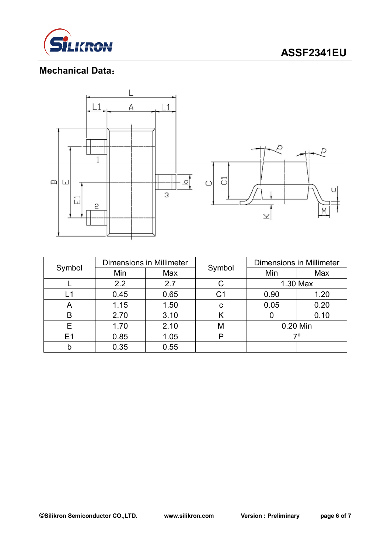

### **Mechanical Data**:



| Symbol | <b>Dimensions in Millimeter</b> |      |        | <b>Dimensions in Millimeter</b> |      |  |
|--------|---------------------------------|------|--------|---------------------------------|------|--|
|        | Min                             | Max  | Symbol | Min                             | Max  |  |
|        | 2.2                             | 2.7  |        | 1.30 Max                        |      |  |
| L1     | 0.45                            | 0.65 | C1     | 0.90                            | 1.20 |  |
| Α      | 1.15                            | 1.50 | C      | 0.05                            | 0.20 |  |
| B      | 2.70                            | 3.10 | Κ      |                                 | 0.10 |  |
| E      | 1.70                            | 2.10 | М      | 0.20 Min                        |      |  |
| E1     | 0.85                            | 1.05 | P      | 70                              |      |  |
| b      | 0.35                            | 0.55 |        |                                 |      |  |